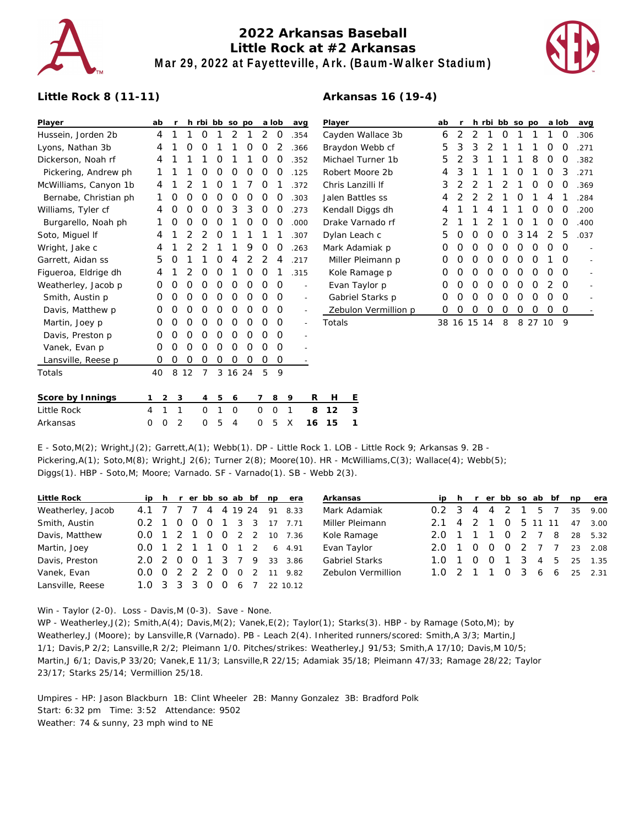

# **2022 Arkansas Baseball Little Rock at #2 Arkansas Mar 29, 2022 at Fayetteville, Ark. (Baum-Walker Stadium)**



#### **Little Rock 8 (11-11)**

| Player                | ab             |   |    |         |   | h rbi bb so po |   |   | a lob    | avg            |   | Player            |                      | ab |   |             |          | h rbi bb so po |                  |                  | a lob            |          | avg                      |
|-----------------------|----------------|---|----|---------|---|----------------|---|---|----------|----------------|---|-------------------|----------------------|----|---|-------------|----------|----------------|------------------|------------------|------------------|----------|--------------------------|
| Hussein, Jorden 2b    | 4              |   |    | 0       |   | 2              |   | 2 | 0        | .354           |   |                   | Cayden Wallace 3b    | 6  | 2 | 2           |          | 0              |                  |                  |                  | $\Omega$ | .306                     |
| Lyons, Nathan 3b      | 4              |   | O  | O       |   |                | O | 0 |          | .366           |   | Braydon Webb cf   | 5                    | 3  | 3 | 2           |          |                |                  | O                | $\Omega$         | .271     |                          |
| Dickerson, Noah rf    | 4              |   |    |         | 0 |                |   | O | Ο        | .352           |   |                   | Michael Turner 1b    | 5  |   | 3           |          |                |                  | 8                | O                | O        | .382                     |
| Pickering, Andrew ph  |                |   |    |         | Ο |                | Ο | Ο | O        | .125           |   |                   | Robert Moore 2b      | 4  | 3 |             |          |                |                  |                  | $\left( \right)$ | 3        | .271                     |
| McWilliams, Canyon 1b | 4              |   |    |         | Ο |                |   | O |          | .372           |   |                   | Chris Lanzilli If    | 3  |   |             |          |                |                  |                  | O                | O        | .369                     |
| Bernabe, Christian ph |                |   |    |         | O | Ο              | O | 0 | 0        | .303           |   |                   | Jalen Battles ss     | 4  |   |             |          |                |                  |                  |                  |          | .284                     |
| Williams, Tyler cf    | 4              |   | O  | Ω       | O | 3              | 3 | 0 | Ω        | .273           |   |                   | Kendall Diggs dh     | 4  |   |             |          |                |                  | $\left( \right)$ | <sup>o</sup>     | $\Omega$ | .200                     |
| Burgarello, Noah ph   |                | 0 | O  | O       | 0 |                | O | 0 | O        | .000           |   | Drake Varnado rf  |                      |    |   |             |          |                | O                |                  | $\Omega$         | O        | .400                     |
| Soto, Miguel If       | 4              |   |    |         | O |                |   |   |          | .307           |   |                   | Dylan Leach c        | 5  | O | O           | O        | 0              | 3                | 14               | 2                | 5        | .037                     |
| Wright, Jake c        | 4              |   |    |         |   |                | 9 | 0 | 0        | .263           |   | Mark Adamiak p    | O                    | O  | O | O           | $\Omega$ | O              | $\left( \right)$ | O                | $\Omega$         |          |                          |
| Garrett, Aidan ss     | 5              | O |    |         | Ő | 4              |   | 2 | 4        | .217           |   | Miller Pleimann p |                      | 0  | O | O           | O        | O              | O                | O                |                  | $\Omega$ |                          |
| Figueroa, Eldrige dh  | 4              |   |    |         | O |                | Ο | Ο |          | .315           |   | Kole Ramage p     |                      | O  | O | O           | $\Omega$ | O              | $\Omega$         | O                | O                | $\Omega$ | $\overline{\phantom{a}}$ |
| Weatherley, Jacob p   | Ő              | O | O  | Ο       | 0 | 0              | O | 0 | 0        | $\overline{a}$ |   |                   | Evan Taylor p        | 0  | O | O           | $\Omega$ | O              | $\Omega$         | $\Omega$         | 2                | $\Omega$ | $\frac{1}{2}$            |
| Smith, Austin p       | 0              | 0 | O  | O       | 0 | 0              | 0 | Ο | 0        | $\sim$         |   |                   | Gabriel Starks p     | 0  | 0 | 0           | 0        | 0              | 0                | $\Omega$         | $\Omega$         | $\Omega$ |                          |
| Davis, Matthew p      | O              | O | Ο  | Ο       | Ο | Ο              | O | Ο | 0        | $\sim$         |   |                   | Zebulon Vermillion p | O  | O | O           | O        | O              |                  |                  | O                | $\Omega$ |                          |
| Martin, Joey p        | O              | O | O  | O       | Ο | Ο              | O | O | 0        | $\sim$         |   | Totals            |                      |    |   | 38 16 15 14 |          | 8              |                  | 8 27 10          |                  | - 9      |                          |
| Davis, Preston p      | 0              |   | Ω  | Ω       | Ω | Ω              | Ο | ი | 0        |                |   |                   |                      |    |   |             |          |                |                  |                  |                  |          |                          |
| Vanek, Evan p         | O              |   | O  | Ω       | Ο | O              | O | Ω | 0        |                |   |                   |                      |    |   |             |          |                |                  |                  |                  |          |                          |
| Lansville, Reese p    | 0              | 0 | 0  | 0       | 0 | 0              | O | 0 | O        |                |   |                   |                      |    |   |             |          |                |                  |                  |                  |          |                          |
| Totals                | 40             | 8 | 12 | 7       |   | 3 16 24        |   | 5 | 9        |                |   |                   |                      |    |   |             |          |                |                  |                  |                  |          |                          |
| Score by Innings      | $\overline{2}$ | 3 |    | 4       | 5 | 6              |   |   | 8        | 9              | R | H                 | Е                    |    |   |             |          |                |                  |                  |                  |          |                          |
| Little Rock           | 1<br>4         | 1 |    | $\circ$ | 1 | $\circ$        |   | 0 | $\Omega$ |                | 8 | 12                | 3                    |    |   |             |          |                |                  |                  |                  |          |                          |

E - Soto,M(2); Wright,J(2); Garrett,A(1); Webb(1). DP - Little Rock 1. LOB - Little Rock 9; Arkansas 9. 2B - Pickering,A(1); Soto,M(8); Wright,J 2(6); Turner 2(8); Moore(10). HR - McWilliams,C(3); Wallace(4); Webb(5); Diggs(1). HBP - Soto,M; Moore; Varnado. SF - Varnado(1). SB - Webb 2(3).

Arkansas 0 0 2 0 5 4 0 5 X **16 15 1**

| Little Rock       |                       |  |            |                |                | ip h r er bb so ab bf np era | Arkansas              |                       |                |                |           |  |         | ip h r er bb so ab bf np era |
|-------------------|-----------------------|--|------------|----------------|----------------|------------------------------|-----------------------|-----------------------|----------------|----------------|-----------|--|---------|------------------------------|
| Weatherley, Jacob | 4.1 7 7 7 4 4 19 24   |  |            |                |                | 91 8.33                      | Mark Adamiak          | $0.2 \quad 3$         | $\overline{4}$ | $\overline{4}$ | 2         |  | 5 7     | 35 9.00                      |
| Smith, Austin     | $0.2 \quad 1 \quad 0$ |  | $0\quad 0$ |                | 1 3 3          | 17 7.71                      | Miller Pleimann       | $2.1 \quad 4$         | 2 1            |                | 0 5 11 11 |  |         | 47 3.00                      |
| Davis, Matthew    | 0.0 1 2 1 0 0 2 2     |  |            |                |                | 10 7.36                      | Kole Ramage           | 2.0 1 1 1 0 2 7 8     |                |                |           |  |         | 28 5.32                      |
| Martin, Joey      | 0.0 1 2 1 1 0         |  |            |                | $1\quad 2$     | 6, 4.91                      | Evan Taylor           | $2.0 \t1 \t0$         |                | $\overline{0}$ |           |  | 0 2 7 7 | 23 2.08                      |
| Davis, Preston    | 2.0 2 0 0 1 3 7 9     |  |            |                |                | 33 3.86                      | <b>Gabriel Starks</b> | $1.0 \quad 1 \quad 0$ |                | $\overline{O}$ |           |  |         | 1 3 4 5 25 1.35              |
| Vanek, Evan       | 0.0 0 2 2 2 0         |  |            | $\overline{0}$ | $\overline{2}$ | 11 9.82                      | Zebulon Vermillion    | $1.0 \t2 \t1 \t1$     |                |                |           |  |         | $0$ 3 6 6 25 2.31            |
| Lansville, Reese  | 1.0 3 3 3 0 0 6       |  |            |                |                | 22 10.12                     |                       |                       |                |                |           |  |         |                              |

Win - Taylor (2-0). Loss - Davis,M (0-3). Save - None.

WP - Weatherley,J(2); Smith,A(4); Davis,M(2); Vanek,E(2); Taylor(1); Starks(3). HBP - by Ramage (Soto,M); by Weatherley,J (Moore); by Lansville,R (Varnado). PB - Leach 2(4). Inherited runners/scored: Smith,A 3/3; Martin,J 1/1; Davis,P 2/2; Lansville,R 2/2; Pleimann 1/0. Pitches/strikes: Weatherley,J 91/53; Smith,A 17/10; Davis,M 10/5; Martin,J 6/1; Davis,P 33/20; Vanek,E 11/3; Lansville,R 22/15; Adamiak 35/18; Pleimann 47/33; Ramage 28/22; Taylor 23/17; Starks 25/14; Vermillion 25/18.

Umpires - HP: Jason Blackburn 1B: Clint Wheeler 2B: Manny Gonzalez 3B: Bradford Polk Start: 6:32 pm Time: 3:52 Attendance: 9502 Weather: 74 & sunny, 23 mph wind to NE

## **Arkansas 16 (19-4)**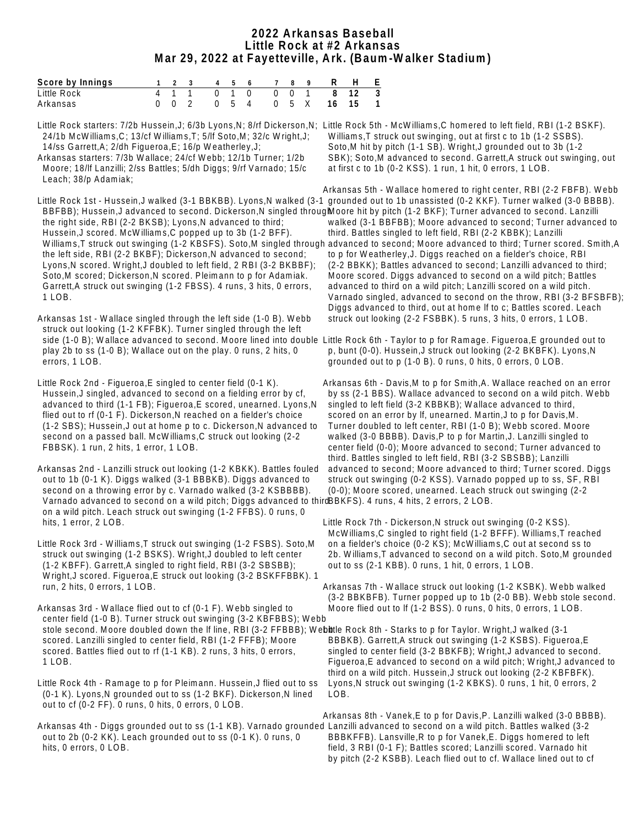### **2022 Arkansas Baseball Little Rock at #2 Arkansas Mar 29, 2022 at Fayetteville, Ark. (Baum-Walker Stadium)**

| Score by Innings |  |  |  |  | 123 456 789 <b>R</b> H F  |  |
|------------------|--|--|--|--|---------------------------|--|
| Little Rock      |  |  |  |  | 4 1 1 0 1 0 0 0 1 8 12 3  |  |
| Arkansas         |  |  |  |  | 0 0 2 0 5 4 0 5 X 16 15 1 |  |

Little Rock starters: 7/2b Hussein,J; 6/3b Lyons,N; 8/rf Dickerson,N; Little Rock 5th - McWilliams,C homered to left field, RBI (1-2 BSKF). 24/1b McWilliams,C; 13/cf Williams,T; 5/lf Soto,M; 32/c Wright,J; 14/ss Garrett,A; 2/dh Figueroa,E; 16/p Weatherley,J;

Arkansas starters: 7/3b Wallace; 24/cf Webb; 12/1b Turner; 1/2b Moore; 18/lf Lanzilli; 2/ss Battles; 5/dh Diggs; 9/rf Varnado; 15/c Leach; 38/p Adamiak;

BBFBB); Hussein,J advanced to second. Dickerson,N singled througMoore hit by pitch (1-2 BKF); Turner advanced to second. Lanzilli the right side, RBI (2-2 BKSB); Lyons, N advanced to third; Hussein,J scored. McWilliams,C popped up to 3b (1-2 BFF). the left side, RBI (2-2 BKBF); Dickerson,N advanced to second; Lyons,N scored. Wright,J doubled to left field, 2 RBI (3-2 BKBBF); Soto, M scored; Dickerson, N scored. Pleimann to p for Adamiak. Garrett,A struck out swinging (1-2 FBSS). 4 runs, 3 hits, 0 errors, 1 LOB.

Arkansas 1st - Wallace singled through the left side (1-0 B). Webb struck out looking (1-2 KFFBK). Turner singled through the left side (1-0 B); Wallace advanced to second. Moore lined into double Little Rock 6th - Taylor to p for Ramage. Figueroa,E grounded out to play 2b to ss (1-0 B); Wallace out on the play. 0 runs, 2 hits, 0 errors, 1 LOB.

Little Rock 2nd - Figueroa,E singled to center field (0-1 K). Hussein,J singled, advanced to second on a fielding error by cf, advanced to third (1-1 FB); Figueroa,E scored, unearned. Lyons,N flied out to rf (0-1 F). Dickerson, N reached on a fielder's choice (1-2 SBS); Hussein,J out at home p to c. Dickerson,N advanced to second on a passed ball. McWilliams,C struck out looking (2-2 FBBSK). 1 run, 2 hits, 1 error, 1 LOB.

Arkansas 2nd - Lanzilli struck out looking (1-2 KBKK). Battles fouled out to 1b (0-1 K). Diggs walked (3-1 BBBKB). Diggs advanced to second on a throwing error by c. Varnado walked (3-2 KSBBBB). Varnado advanced to second on a wild pitch; Diggs advanced to third BBKFS). 4 runs, 4 hits, 2 errors, 2 LOB. on a wild pitch. Leach struck out swinging (1-2 FFBS). 0 runs, 0 hits, 1 error, 2 LOB.

Little Rock 3rd - Williams,T struck out swinging (1-2 FSBS). Soto,M struck out swinging (1-2 BSKS). Wright,J doubled to left center (1-2 KBFF). Garrett,A singled to right field, RBI (3-2 SBSBB); Wright,J scored. Figueroa,E struck out looking (3-2 BSKFFBBK). 1 run, 2 hits, 0 errors, 1 LOB.

Arkansas 3rd - Wallace flied out to cf (0-1 F). Webb singled to center field (1-0 B). Turner struck out swinging (3-2 KBFBBS); Webb stole second. Moore doubled down the If line, RBI (3-2 FFBBB); Webttle Rock 8th - Starks to p for Taylor. Wright,J walked (3-1 scored. Lanzilli singled to center field, RBI (1-2 FFFB); Moore scored. Battles flied out to rf (1-1 KB). 2 runs, 3 hits, 0 errors, 1 LOB.

Little Rock 4th - Ramage to p for Pleimann. Hussein,J flied out to ss (0-1 K). Lyons,N grounded out to ss (1-2 BKF). Dickerson,N lined out to cf (0-2 FF). 0 runs, 0 hits, 0 errors, 0 LOB.

Arkansas 4th - Diggs grounded out to ss (1-1 KB). Varnado grounded Lanzilli advanced to second on a wild pitch. Battles walked (3-2 out to 2b (0-2 KK). Leach grounded out to ss (0-1 K). 0 runs, 0 hits, 0 errors, 0 LOB.

 Williams,T struck out swinging, out at first c to 1b (1-2 SSBS). Soto,M hit by pitch (1-1 SB). Wright,J grounded out to 3b (1-2 SBK); Soto,M advanced to second. Garrett,A struck out swinging, out at first c to 1b (0-2 KSS). 1 run, 1 hit, 0 errors, 1 LOB.

Little Rock 1st - Hussein,J walked (3-1 BBKBB). Lyons,N walked (3-1 grounded out to 1b unassisted (0-2 KKF). Turner walked (3-0 BBBB). Williams,T struck out swinging (1-2 KBSFS). Soto,M singled through advanced to second; Moore advanced to third; Turner scored. Smith,A Arkansas 5th - Wallace homered to right center, RBI (2-2 FBFB). Webb walked (3-1 BBFBB); Moore advanced to second; Turner advanced to third. Battles singled to left field, RBI (2-2 KBBK); Lanzilli to p for Weatherley,J. Diggs reached on a fielder's choice, RBI (2-2 BBKK); Battles advanced to second; Lanzilli advanced to third; Moore scored. Diggs advanced to second on a wild pitch; Battles advanced to third on a wild pitch; Lanzilli scored on a wild pitch. Varnado singled, advanced to second on the throw, RBI (3-2 BFSBFB); Diggs advanced to third, out at home lf to c; Battles scored. Leach struck out looking (2-2 FSBBK). 5 runs, 3 hits, 0 errors, 1 LOB.

> p, bunt (0-0). Hussein,J struck out looking (2-2 BKBFK). Lyons,N grounded out to p (1-0 B). 0 runs, 0 hits, 0 errors, 0 LOB.

Arkansas 6th - Davis,M to p for Smith,A. Wallace reached on an error by ss (2-1 BBS). Wallace advanced to second on a wild pitch. Webb singled to left field (3-2 KBBKB); Wallace advanced to third, scored on an error by If, unearned. Martin, J to p for Davis, M. Turner doubled to left center, RBI (1-0 B); Webb scored. Moore walked (3-0 BBBB). Davis,P to p for Martin,J. Lanzilli singled to center field (0-0); Moore advanced to second; Turner advanced to third. Battles singled to left field, RBI (3-2 SBSBB); Lanzilli advanced to second; Moore advanced to third; Turner scored. Diggs struck out swinging (0-2 KSS). Varnado popped up to ss, SF, RBI (0-0); Moore scored, unearned. Leach struck out swinging (2-2

Little Rock 7th - Dickerson,N struck out swinging (0-2 KSS). McWilliams,C singled to right field (1-2 BFFF). Williams,T reached on a fielder's choice (0-2 KS); McWilliams,C out at second ss to 2b. Williams,T advanced to second on a wild pitch. Soto,M grounded out to ss (2-1 KBB). 0 runs, 1 hit, 0 errors, 1 LOB.

Arkansas 7th - Wallace struck out looking (1-2 KSBK). Webb walked (3-2 BBKBFB). Turner popped up to 1b (2-0 BB). Webb stole second. Moore flied out to lf (1-2 BSS). 0 runs, 0 hits, 0 errors, 1 LOB.

 BBBKB). Garrett,A struck out swinging (1-2 KSBS). Figueroa,E singled to center field (3-2 BBKFB); Wright,J advanced to second. Figueroa,E advanced to second on a wild pitch; Wright,J advanced to third on a wild pitch. Hussein,J struck out looking (2-2 KBFBFK). Lyons,N struck out swinging (1-2 KBKS). 0 runs, 1 hit, 0 errors, 2 LOB.

Arkansas 8th - Vanek,E to p for Davis,P. Lanzilli walked (3-0 BBBB). BBBKFFB). Lansville,R to p for Vanek,E. Diggs homered to left field, 3 RBI (0-1 F); Battles scored; Lanzilli scored. Varnado hit by pitch (2-2 KSBB). Leach flied out to cf. Wallace lined out to cf